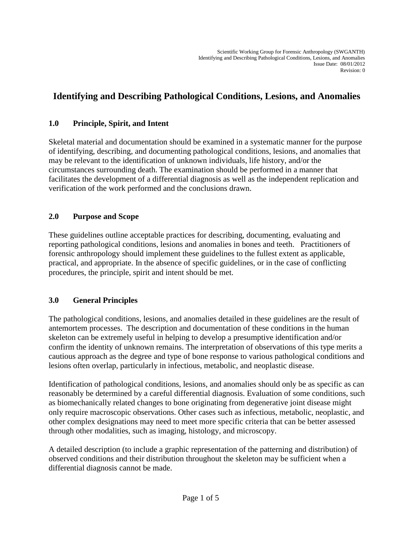# **Identifying and Describing Pathological Conditions, Lesions, and Anomalies**

#### **1.0 Principle, Spirit, and Intent**

Skeletal material and documentation should be examined in a systematic manner for the purpose of identifying, describing, and documenting pathological conditions, lesions, and anomalies that may be relevant to the identification of unknown individuals, life history, and/or the circumstances surrounding death. The examination should be performed in a manner that facilitates the development of a differential diagnosis as well as the independent replication and verification of the work performed and the conclusions drawn.

#### **2.0 Purpose and Scope**

These guidelines outline acceptable practices for describing, documenting, evaluating and reporting pathological conditions, lesions and anomalies in bones and teeth. Practitioners of forensic anthropology should implement these guidelines to the fullest extent as applicable, practical, and appropriate. In the absence of specific guidelines, or in the case of conflicting procedures, the principle, spirit and intent should be met.

#### **3.0 General Principles**

The pathological conditions, lesions, and anomalies detailed in these guidelines are the result of antemortem processes. The description and documentation of these conditions in the human skeleton can be extremely useful in helping to develop a presumptive identification and/or confirm the identity of unknown remains. The interpretation of observations of this type merits a cautious approach as the degree and type of bone response to various pathological conditions and lesions often overlap, particularly in infectious, metabolic, and neoplastic disease.

Identification of pathological conditions, lesions, and anomalies should only be as specific as can reasonably be determined by a careful differential diagnosis. Evaluation of some conditions, such as biomechanically related changes to bone originating from degenerative joint disease might only require macroscopic observations. Other cases such as infectious, metabolic, neoplastic, and other complex designations may need to meet more specific criteria that can be better assessed through other modalities, such as imaging, histology, and microscopy.

A detailed description (to include a graphic representation of the patterning and distribution) of observed conditions and their distribution throughout the skeleton may be sufficient when a differential diagnosis cannot be made.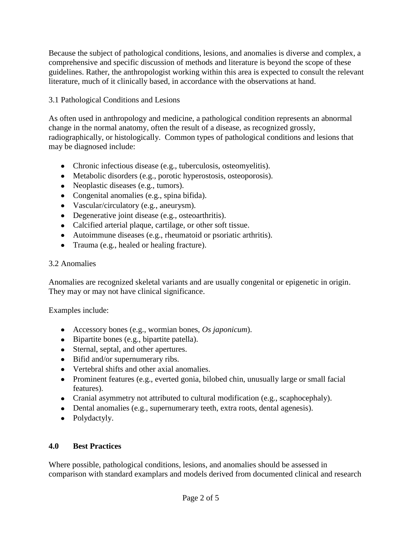Because the subject of pathological conditions, lesions, and anomalies is diverse and complex, a comprehensive and specific discussion of methods and literature is beyond the scope of these guidelines. Rather, the anthropologist working within this area is expected to consult the relevant literature, much of it clinically based, in accordance with the observations at hand.

# 3.1 Pathological Conditions and Lesions

As often used in anthropology and medicine, a pathological condition represents an abnormal change in the normal anatomy, often the result of a disease, as recognized grossly, radiographically, or histologically. Common types of pathological conditions and lesions that may be diagnosed include:

- Chronic infectious disease (e.g., tuberculosis, osteomyelitis).
- Metabolic disorders (e.g., porotic hyperostosis, osteoporosis).
- Neoplastic diseases (e.g., tumors).
- Congenital anomalies (e.g., spina bifida).
- Vascular/circulatory (e.g., aneurysm).
- Degenerative joint disease (e.g., osteoarthritis).
- Calcified arterial plaque, cartilage, or other soft tissue.
- Autoimmune diseases (e.g., rheumatoid or psoriatic arthritis).
- Trauma (e.g., healed or healing fracture).

### 3.2 Anomalies

Anomalies are recognized skeletal variants and are usually congenital or epigenetic in origin. They may or may not have clinical significance.

Examples include:

- Accessory bones (e.g., wormian bones, *Os japonicum*).
- Bipartite bones (e.g., bipartite patella).
- Sternal, septal, and other apertures.
- Bifid and/or supernumerary ribs.
- Vertebral shifts and other axial anomalies.
- Prominent features (e.g., everted gonia, bilobed chin, unusually large or small facial features).
- Cranial asymmetry not attributed to cultural modification (e.g., scaphocephaly).
- Dental anomalies (e.g., supernumerary teeth, extra roots, dental agenesis).
- Polydactyly.

### **4.0 Best Practices**

Where possible, pathological conditions, lesions, and anomalies should be assessed in comparison with standard examplars and models derived from documented clinical and research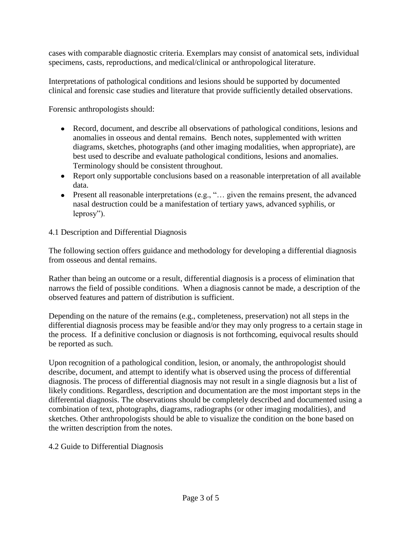cases with comparable diagnostic criteria. Exemplars may consist of anatomical sets, individual specimens, casts, reproductions, and medical/clinical or anthropological literature.

Interpretations of pathological conditions and lesions should be supported by documented clinical and forensic case studies and literature that provide sufficiently detailed observations.

Forensic anthropologists should:

- Record, document, and describe all observations of pathological conditions, lesions and anomalies in osseous and dental remains. Bench notes, supplemented with written diagrams, sketches, photographs (and other imaging modalities, when appropriate), are best used to describe and evaluate pathological conditions, lesions and anomalies. Terminology should be consistent throughout.
- Report only supportable conclusions based on a reasonable interpretation of all available data.
- Present all reasonable interpretations (e.g., "… given the remains present, the advanced nasal destruction could be a manifestation of tertiary yaws, advanced syphilis, or leprosy").

# 4.1 Description and Differential Diagnosis

The following section offers guidance and methodology for developing a differential diagnosis from osseous and dental remains.

Rather than being an outcome or a result, differential diagnosis is a process of elimination that narrows the field of possible conditions. When a diagnosis cannot be made, a description of the observed features and pattern of distribution is sufficient.

Depending on the nature of the remains (e.g., completeness, preservation) not all steps in the differential diagnosis process may be feasible and/or they may only progress to a certain stage in the process. If a definitive conclusion or diagnosis is not forthcoming, equivocal results should be reported as such.

Upon recognition of a pathological condition, lesion, or anomaly, the anthropologist should describe, document, and attempt to identify what is observed using the process of differential diagnosis. The process of differential diagnosis may not result in a single diagnosis but a list of likely conditions. Regardless, description and documentation are the most important steps in the differential diagnosis. The observations should be completely described and documented using a combination of text, photographs, diagrams, radiographs (or other imaging modalities), and sketches. Other anthropologists should be able to visualize the condition on the bone based on the written description from the notes.

4.2 Guide to Differential Diagnosis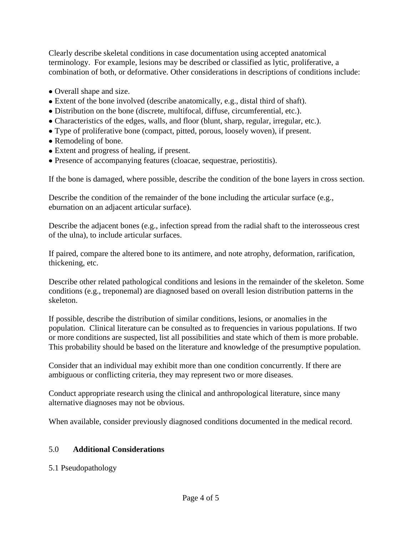Clearly describe skeletal conditions in case documentation using accepted anatomical terminology. For example, lesions may be described or classified as lytic, proliferative, a combination of both, or deformative. Other considerations in descriptions of conditions include:

- Overall shape and size.
- Extent of the bone involved (describe anatomically, e.g., distal third of shaft).
- Distribution on the bone (discrete, multifocal, diffuse, circumferential, etc.).
- Characteristics of the edges, walls, and floor (blunt, sharp, regular, irregular, etc.).
- Type of proliferative bone (compact, pitted, porous, loosely woven), if present.
- Remodeling of bone.
- Extent and progress of healing, if present.
- Presence of accompanying features (cloacae, sequestrae, periostitis).

If the bone is damaged, where possible, describe the condition of the bone layers in cross section.

Describe the condition of the remainder of the bone including the articular surface (e.g., eburnation on an adjacent articular surface).

Describe the adjacent bones (e.g., infection spread from the radial shaft to the interosseous crest of the ulna), to include articular surfaces.

If paired, compare the altered bone to its antimere, and note atrophy, deformation, rarification, thickening, etc.

Describe other related pathological conditions and lesions in the remainder of the skeleton. Some conditions (e.g., treponemal) are diagnosed based on overall lesion distribution patterns in the skeleton.

If possible, describe the distribution of similar conditions, lesions, or anomalies in the population. Clinical literature can be consulted as to frequencies in various populations. If two or more conditions are suspected, list all possibilities and state which of them is more probable. This probability should be based on the literature and knowledge of the presumptive population.

Consider that an individual may exhibit more than one condition concurrently. If there are ambiguous or conflicting criteria, they may represent two or more diseases.

Conduct appropriate research using the clinical and anthropological literature, since many alternative diagnoses may not be obvious.

When available, consider previously diagnosed conditions documented in the medical record.

# 5.0 **Additional Considerations**

### 5.1 Pseudopathology